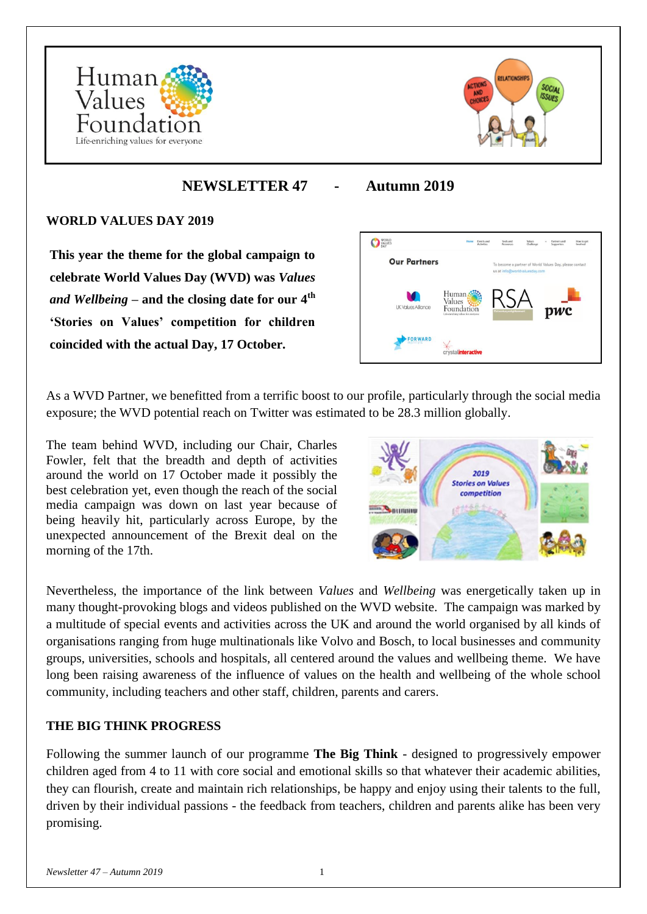



# **NEWSLETTER 47 - Autumn 2019**

#### **WORLD VALUES DAY 2019**

**This year the theme for the global campaign to celebrate World Values Day (WVD) was** *Values and Wellbeing* **– and the closing date for our 4th 'Stories on Values' competition for children coincided with the actual Day, 17 October.**



As a WVD Partner, we benefitted from a terrific boost to our profile, particularly through the social media exposure; the WVD potential reach on Twitter was estimated to be 28.3 million globally.

The team behind WVD, including our Chair, Charles Fowler, felt that the breadth and depth of activities around the world on 17 October made it possibly the best celebration yet, even though the reach of the social media campaign was down on last year because of being heavily hit, particularly across Europe, by the unexpected announcement of the Brexit deal on the morning of the 17th.



Nevertheless, the importance of the link between *Values* and *Wellbeing* was energetically taken up in many thought-provoking blogs and videos published on the WVD website. The campaign was marked by a multitude of special events and activities across the UK and around the world organised by all kinds of organisations ranging from huge multinationals like Volvo and Bosch, to local businesses and community groups, universities, schools and hospitals, all centered around the values and wellbeing theme. We have long been raising awareness of the influence of values on the health and wellbeing of the whole school community, including teachers and other staff, children, parents and carers.

#### **THE BIG THINK PROGRESS**

Following the summer launch of our programme **The Big Think** - designed to progressively empower children aged from 4 to 11 with core social and emotional skills so that whatever their academic abilities, they can flourish, create and maintain rich relationships, be happy and enjoy using their talents to the full, driven by their individual passions - the feedback from teachers, children and parents alike has been very promising.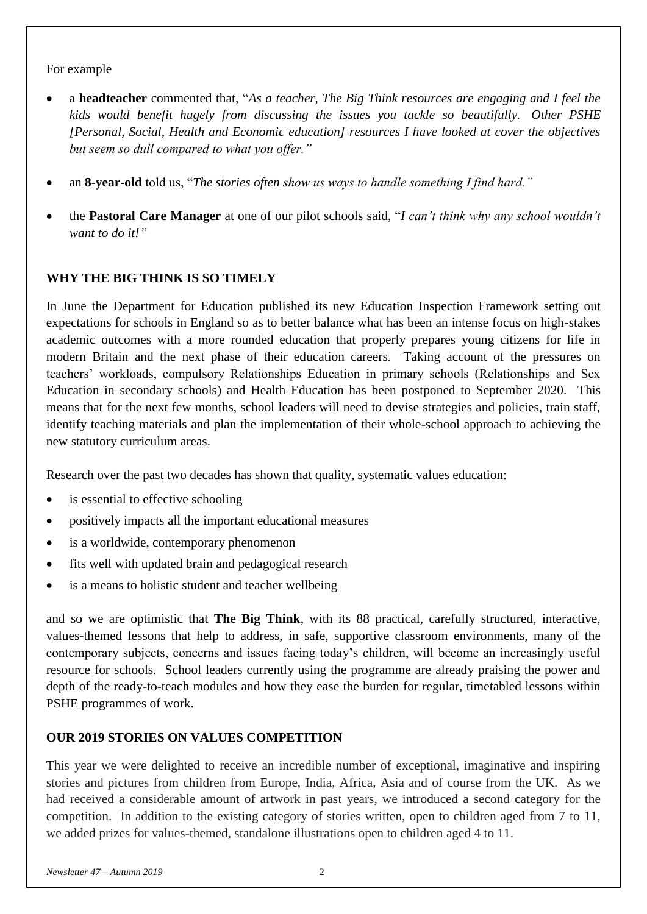#### For example

- a **headteacher** commented that, "*As a teacher, The Big Think resources are engaging and I feel the kids would benefit hugely from discussing the issues you tackle so beautifully. Other PSHE [Personal, Social, Health and Economic education] resources I have looked at cover the objectives but seem so dull compared to what you offer."*
- an **8-year-old** told us, "*The stories often show us ways to handle something I find hard.*"
- the **Pastoral Care Manager** at one of our pilot schools said, "*I can't think why any school wouldn't want to do it!"*

### **WHY THE BIG THINK IS SO TIMELY**

In June the Department for Education published its new Education Inspection Framework setting out expectations for schools in England so as to better balance what has been an intense focus on high-stakes academic outcomes with a more rounded education that properly prepares young citizens for life in modern Britain and the next phase of their education careers. Taking account of the pressures on teachers' workloads, compulsory Relationships Education in primary schools (Relationships and Sex Education in secondary schools) and Health Education has been postponed to September 2020. This means that for the next few months, school leaders will need to devise strategies and policies, train staff, identify teaching materials and plan the implementation of their whole-school approach to achieving the new statutory curriculum areas.

Research over the past two decades has shown that quality, systematic values education:

- is essential to effective schooling
- positively impacts all the important educational measures
- is a worldwide, contemporary phenomenon
- fits well with updated brain and pedagogical research
- is a means to holistic student and teacher wellbeing

and so we are optimistic that **The Big Think**, with its 88 practical, carefully structured, interactive, values-themed lessons that help to address, in safe, supportive classroom environments, many of the contemporary subjects, concerns and issues facing today's children, will become an increasingly useful resource for schools. School leaders currently using the programme are already praising the power and depth of the ready-to-teach modules and how they ease the burden for regular, timetabled lessons within PSHE programmes of work.

## **OUR 2019 STORIES ON VALUES COMPETITION**

This year we were delighted to receive an incredible number of exceptional, imaginative and inspiring stories and pictures from children from Europe, India, Africa, Asia and of course from the UK. As we had received a considerable amount of artwork in past years, we introduced a second category for the competition. In addition to the existing category of stories written, open to children aged from 7 to 11, we added prizes for values-themed, standalone illustrations open to children aged 4 to 11.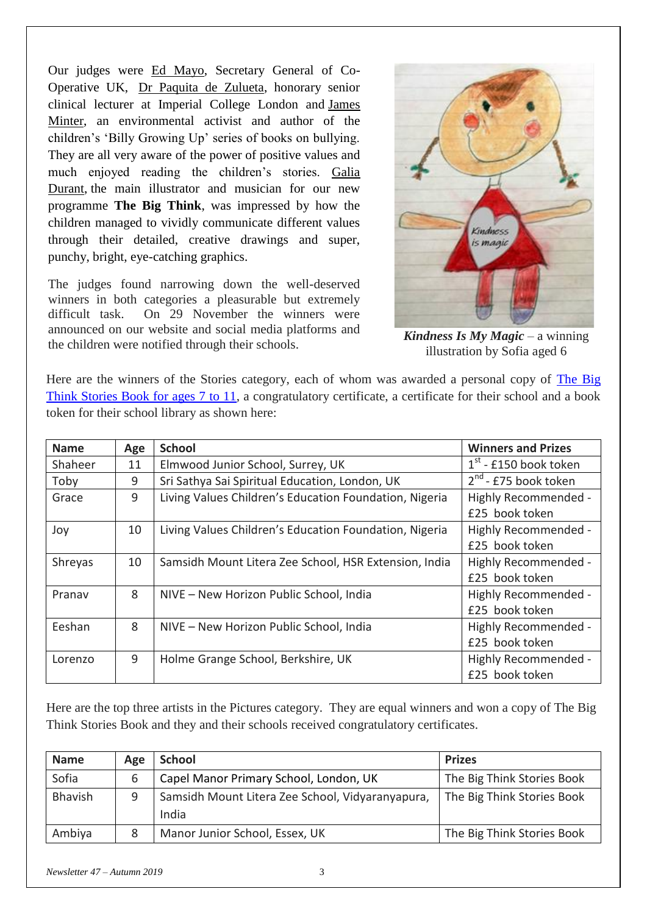Our judges were [Ed Mayo,](https://ncbaclusa.coop/ed-mayo/) Secretary General of Co-Operative UK, [Dr Paquita de Zulueta,](https://haconvention2019.dryfta.com/en/speakers-en/users/detail/2221/paquita-de-zulueta) honorary senior clinical lecturer at Imperial College London and [James](https://twitter.com/james_minter)  [Minter,](https://twitter.com/james_minter) an environmental activist and author of the children's 'Billy Growing Up' series of books on bullying. They are all very aware of the power of positive values and much enjoyed reading the children's stories. [Galia](https://twitter.com/galiadurant)  [Durant,](https://twitter.com/galiadurant) the main illustrator and musician for our new programme **The Big Think**, was impressed by how the children managed to vividly communicate different values through their detailed, creative drawings and super, punchy, bright, eye-catching graphics.

The judges found narrowing down the well-deserved winners in both categories a pleasurable but extremely difficult task. On 29 November the winners were announced on our website and social media platforms and the children were notified through their schools. *Kindness Is My Magic* – a winning



illustration by Sofia aged 6

Here are the winners of the Stories category, each of whom was awarded a personal copy of [The Big](https://the-big-think.org/product/the-big-think-stories-book-for-ages-7-to-11/)  [Think Stories Book for ages 7 to 11,](https://the-big-think.org/product/the-big-think-stories-book-for-ages-7-to-11/) a congratulatory certificate, a certificate for their school and a book token for their school library as shown here:

| <b>Name</b> | Age | <b>School</b>                                          | <b>Winners and Prizes</b> |
|-------------|-----|--------------------------------------------------------|---------------------------|
| Shaheer     | 11  | Elmwood Junior School, Surrey, UK                      | $1st$ - £150 book token   |
| Toby        | 9   | Sri Sathya Sai Spiritual Education, London, UK         | $2^{nd}$ - £75 book token |
| Grace       | 9   | Living Values Children's Education Foundation, Nigeria | Highly Recommended -      |
|             |     |                                                        | £25 book token            |
| Joy         | 10  | Living Values Children's Education Foundation, Nigeria | Highly Recommended -      |
|             |     |                                                        | £25 book token            |
| Shreyas     | 10  | Samsidh Mount Litera Zee School, HSR Extension, India  | Highly Recommended -      |
|             |     |                                                        | £25 book token            |
| Pranav      | 8   | NIVE - New Horizon Public School, India                | Highly Recommended -      |
|             |     |                                                        | £25 book token            |
| Eeshan      | 8   | NIVE - New Horizon Public School, India                | Highly Recommended -      |
|             |     |                                                        | £25 book token            |
| Lorenzo     | 9   | Holme Grange School, Berkshire, UK                     | Highly Recommended -      |
|             |     |                                                        | £25 book token            |

Here are the top three artists in the Pictures category. They are equal winners and won a copy of The Big Think Stories Book and they and their schools received congratulatory certificates.

| <b>Name</b> | Age | <b>School</b>                                             | <b>Prizes</b>              |
|-------------|-----|-----------------------------------------------------------|----------------------------|
| Sofia       | 6   | Capel Manor Primary School, London, UK                    | The Big Think Stories Book |
| Bhavish     | 9   | Samsidh Mount Litera Zee School, Vidyaranyapura,<br>India | The Big Think Stories Book |
| Ambiya      | 8   | Manor Junior School, Essex, UK                            | The Big Think Stories Book |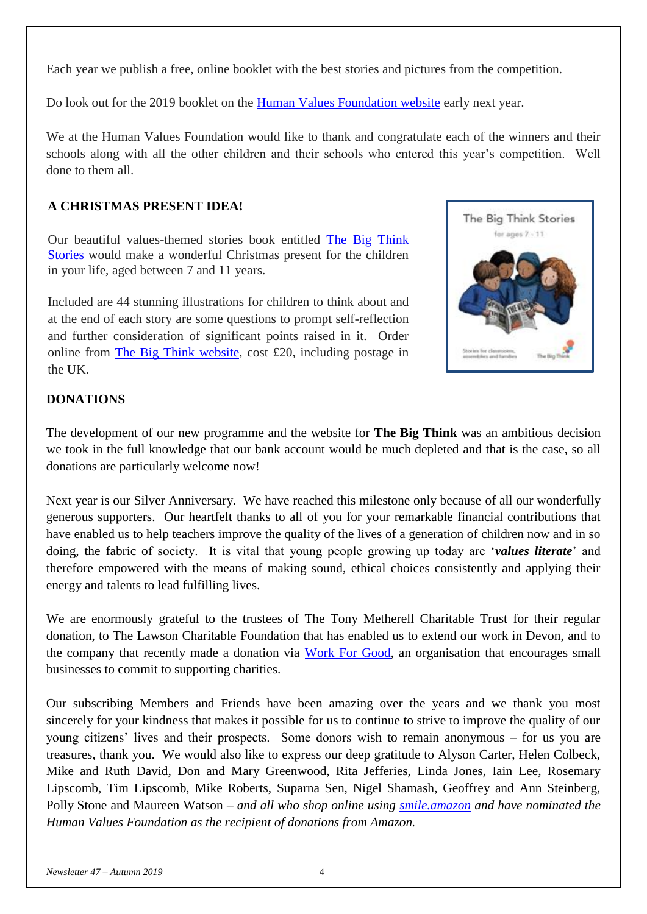Each year we publish a free, online booklet with the best stories and pictures from the competition.

Do look out for the 2019 booklet on the **Human Values Foundation website** early next year.

We at the Human Values Foundation would like to thank and congratulate each of the winners and their schools along with all the other children and their schools who entered this year's competition. Well done to them all.

## **A CHRISTMAS PRESENT IDEA!**

Our beautiful values-themed stories book entitled [The Big Think](https://the-big-think.org/product/the-big-think-stories-book-for-ages-7-to-11/)  [Stories](https://the-big-think.org/product/the-big-think-stories-book-for-ages-7-to-11/) would make a wonderful Christmas present for the children in your life, aged between 7 and 11 years.

Included are 44 stunning illustrations for children to think about and at the end of each story are some questions to prompt self-reflection and further consideration of significant points raised in it. Order online from [The Big Think website,](https://the-big-think.org/product/the-big-think-stories-book-for-ages-7-to-11/) cost £20, including postage in the UK.



## **DONATIONS**

The development of our new programme and the website for **The Big Think** was an ambitious decision we took in the full knowledge that our bank account would be much depleted and that is the case, so all donations are particularly welcome now!

Next year is our Silver Anniversary. We have reached this milestone only because of all our wonderfully generous supporters. Our heartfelt thanks to all of you for your remarkable financial contributions that have enabled us to help teachers improve the quality of the lives of a generation of children now and in so doing, the fabric of society. It is vital that young people growing up today are '*values literate*' and therefore empowered with the means of making sound, ethical choices consistently and applying their energy and talents to lead fulfilling lives.

We are enormously grateful to the trustees of The Tony Metherell Charitable Trust for their regular donation, to The Lawson Charitable Foundation that has enabled us to extend our work in Devon, and to the company that recently made a donation via [Work For Good,](https://workforgood.co.uk/) an organisation that encourages small businesses to commit to supporting charities.

Our subscribing Members and Friends have been amazing over the years and we thank you most sincerely for your kindness that makes it possible for us to continue to strive to improve the quality of our young citizens' lives and their prospects. Some donors wish to remain anonymous – for us you are treasures, thank you. We would also like to express our deep gratitude to Alyson Carter, Helen Colbeck, Mike and Ruth David, Don and Mary Greenwood, Rita Jefferies, Linda Jones, Iain Lee, Rosemary Lipscomb, Tim Lipscomb, Mike Roberts, Suparna Sen, Nigel Shamash, Geoffrey and Ann Steinberg, Polly Stone and Maureen Watson – *and all who shop online using [smile.amazon](https://smile.amazon.co.uk/) and have nominated the Human Values Foundation as the recipient of donations from Amazon.*